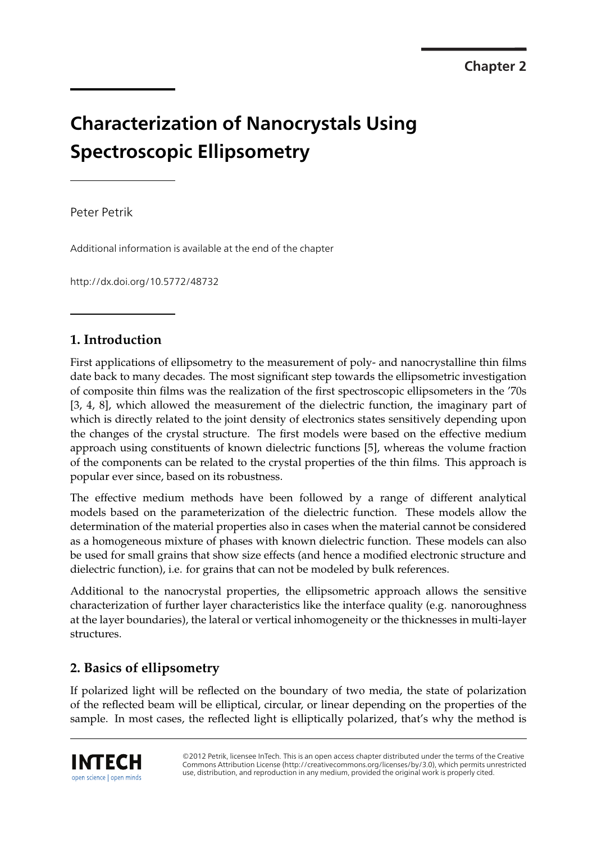# **Characterization of Nanocrystals Using Spectroscopic Ellipsometry**

Peter Petrik

Additional information is available at the end of the chapter

http://dx.doi.org/10.5772/48732

# **1. Introduction**

First applications of ellipsometry to the measurement of poly- and nanocrystalline thin films date back to many decades. The most significant step towards the ellipsometric investigation of composite thin films was the realization of the first spectroscopic ellipsometers in the '70s [3, 4, 8], which allowed the measurement of the dielectric function, the imaginary part of which is directly related to the joint density of electronics states sensitively depending upon the changes of the crystal structure. The first models were based on the effective medium approach using constituents of known dielectric functions [5], whereas the volume fraction of the components can be related to the crystal properties of the thin films. This approach is popular ever since, based on its robustness.

The effective medium methods have been followed by a range of different analytical models based on the parameterization of the dielectric function. These models allow the determination of the material properties also in cases when the material cannot be considered as a homogeneous mixture of phases with known dielectric function. These models can also be used for small grains that show size effects (and hence a modified electronic structure and dielectric function), i.e. for grains that can not be modeled by bulk references.

Additional to the nanocrystal properties, the ellipsometric approach allows the sensitive characterization of further layer characteristics like the interface quality (e.g. nanoroughness at the layer boundaries), the lateral or vertical inhomogeneity or the thicknesses in multi-layer structures.

# **2. Basics of ellipsometry**

If polarized light will be reflected on the boundary of two media, the state of polarization of the reflected beam will be elliptical, circular, or linear depending on the properties of the sample. In most cases, the reflected light is elliptically polarized, that's why the method is

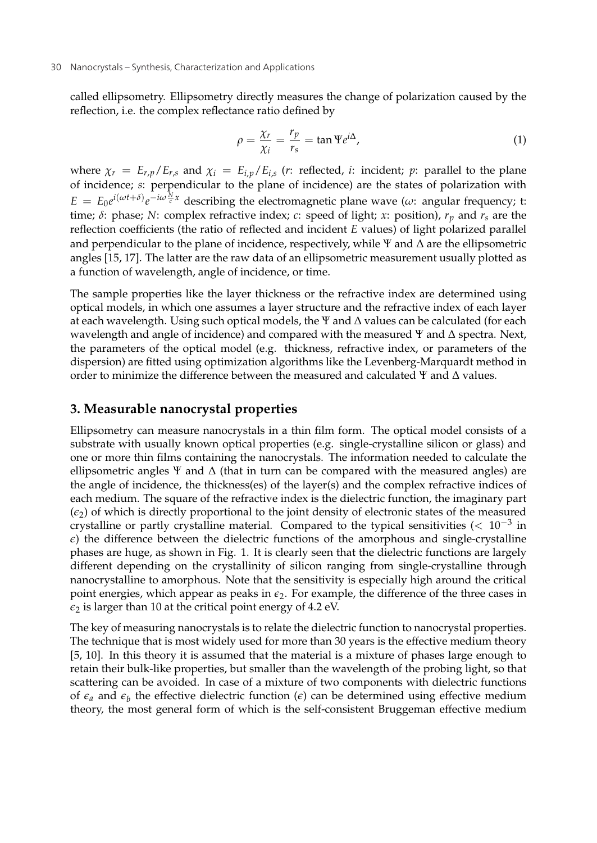#### 30 Nanocrystals – Synthesis, Characterization and Applications

called ellipsometry. Ellipsometry directly measures the change of polarization caused by the reflection, i.e. the complex reflectance ratio defined by

$$
\rho = \frac{\chi_r}{\chi_i} = \frac{r_p}{r_s} = \tan \Psi e^{i\Delta},\tag{1}
$$

where  $\chi_r = E_{r,p}/E_{r,s}$  and  $\chi_i = E_{i,p}/E_{i,s}$  (*r*: reflected, *i*: incident; *p*: parallel to the plane of incidence; *s*: perpendicular to the plane of incidence) are the states of polarization with  $E = E_0 e^{i(\omega t + \delta)} e^{-i\omega \frac{N}{c}x}$  describing the electromagnetic plane wave ( $\omega$ : angular frequency; t: time;  $\delta$ : phase; *N*: complex refractive index; *c*: speed of light; *x*: position),  $r_p$  and  $r_s$  are the reflection coefficients (the ratio of reflected and incident *E* values) of light polarized parallel and perpendicular to the plane of incidence, respectively, while  $\Psi$  and  $\Delta$  are the ellipsometric angles [15, 17]. The latter are the raw data of an ellipsometric measurement usually plotted as a function of wavelength, angle of incidence, or time.

The sample properties like the layer thickness or the refractive index are determined using optical models, in which one assumes a layer structure and the refractive index of each layer at each wavelength. Using such optical models, the  $\Psi$  and  $\Delta$  values can be calculated (for each wavelength and angle of incidence) and compared with the measured  $\Psi$  and  $\Delta$  spectra. Next, the parameters of the optical model (e.g. thickness, refractive index, or parameters of the dispersion) are fitted using optimization algorithms like the Levenberg-Marquardt method in order to minimize the difference between the measured and calculated  $\Psi$  and  $\Delta$  values.

#### **3. Measurable nanocrystal properties**

Ellipsometry can measure nanocrystals in a thin film form. The optical model consists of a substrate with usually known optical properties (e.g. single-crystalline silicon or glass) and one or more thin films containing the nanocrystals. The information needed to calculate the ellipsometric angles  $\Psi$  and  $\Delta$  (that in turn can be compared with the measured angles) are the angle of incidence, the thickness(es) of the layer(s) and the complex refractive indices of each medium. The square of the refractive index is the dielectric function, the imaginary part  $(\epsilon_2)$  of which is directly proportional to the joint density of electronic states of the measured crystalline or partly crystalline material. Compared to the typical sensitivities ( $< 10^{-3}$  in  $\epsilon$ ) the difference between the dielectric functions of the amorphous and single-crystalline phases are huge, as shown in Fig. 1. It is clearly seen that the dielectric functions are largely different depending on the crystallinity of silicon ranging from single-crystalline through nanocrystalline to amorphous. Note that the sensitivity is especially high around the critical point energies, which appear as peaks in  $\epsilon_2$ . For example, the difference of the three cases in  $\epsilon_2$  is larger than 10 at the critical point energy of 4.2 eV.

The key of measuring nanocrystals is to relate the dielectric function to nanocrystal properties. The technique that is most widely used for more than 30 years is the effective medium theory [5, 10]. In this theory it is assumed that the material is a mixture of phases large enough to retain their bulk-like properties, but smaller than the wavelength of the probing light, so that scattering can be avoided. In case of a mixture of two components with dielectric functions of  $\epsilon_a$  and  $\epsilon_b$  the effective dielectric function ( $\epsilon$ ) can be determined using effective medium theory, the most general form of which is the self-consistent Bruggeman effective medium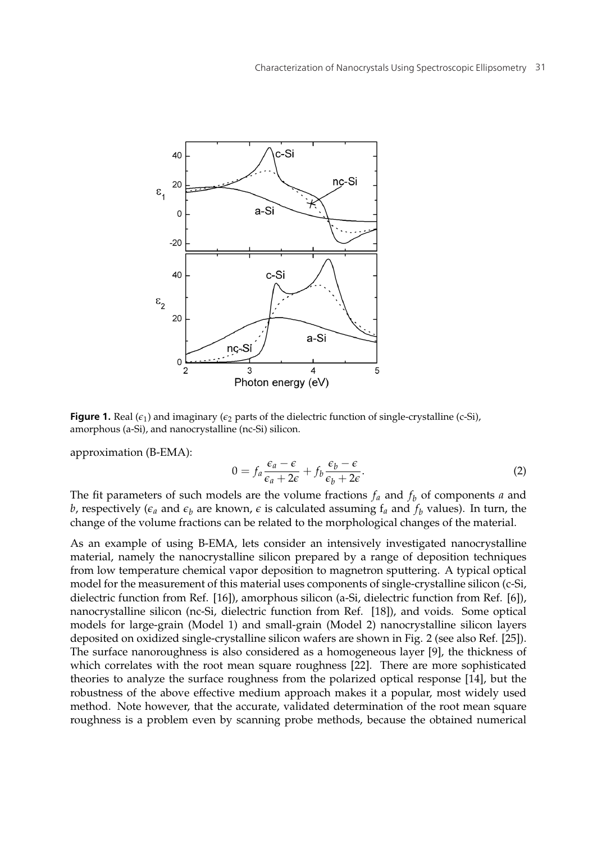

**Figure 1.** Real ( $\epsilon_1$ ) and imaginary ( $\epsilon_2$  parts of the dielectric function of single-crystalline (c-Si), amorphous (a-Si), and nanocrystalline (nc-Si) silicon.

approximation (B-EMA):

$$
0 = f_a \frac{\epsilon_a - \epsilon}{\epsilon_a + 2\epsilon} + f_b \frac{\epsilon_b - \epsilon}{\epsilon_b + 2\epsilon}.
$$
 (2)

The fit parameters of such models are the volume fractions  $f_a$  and  $f_b$  of components  $a$  and *b*, respectively ( $\epsilon_a$  and  $\epsilon_b$  are known,  $\epsilon$  is calculated assuming  $f_a$  and  $f_b$  values). In turn, the change of the volume fractions can be related to the morphological changes of the material.

As an example of using B-EMA, lets consider an intensively investigated nanocrystalline material, namely the nanocrystalline silicon prepared by a range of deposition techniques from low temperature chemical vapor deposition to magnetron sputtering. A typical optical model for the measurement of this material uses components of single-crystalline silicon (c-Si, dielectric function from Ref. [16]), amorphous silicon (a-Si, dielectric function from Ref. [6]), nanocrystalline silicon (nc-Si, dielectric function from Ref. [18]), and voids. Some optical models for large-grain (Model 1) and small-grain (Model 2) nanocrystalline silicon layers deposited on oxidized single-crystalline silicon wafers are shown in Fig. 2 (see also Ref. [25]). The surface nanoroughness is also considered as a homogeneous layer [9], the thickness of which correlates with the root mean square roughness [22]. There are more sophisticated theories to analyze the surface roughness from the polarized optical response [14], but the robustness of the above effective medium approach makes it a popular, most widely used method. Note however, that the accurate, validated determination of the root mean square roughness is a problem even by scanning probe methods, because the obtained numerical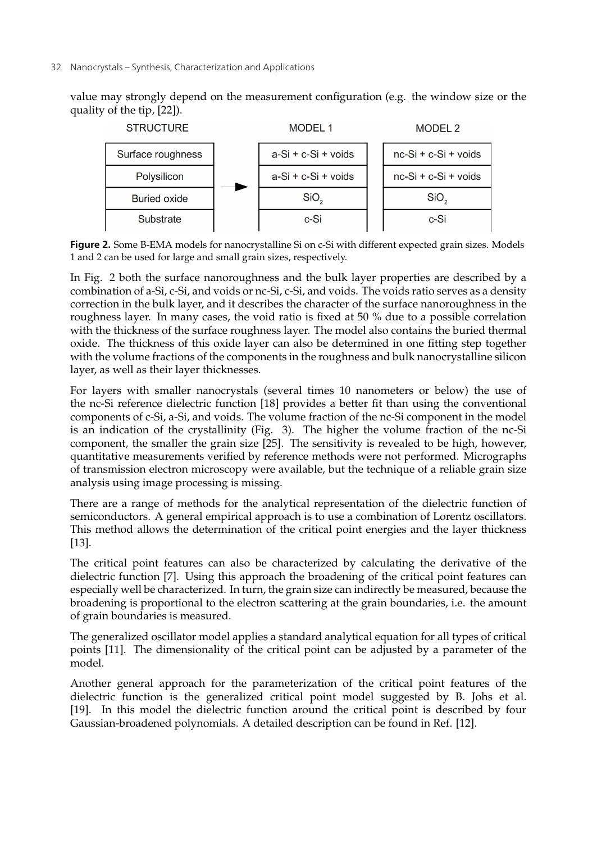#### 32 Nanocrystals – Synthesis, Characterization and Applications

value may strongly depend on the measurement configuration (e.g. the window size or the quality of the tip, [22]).



**Figure 2.** Some B-EMA models for nanocrystalline Si on c-Si with different expected grain sizes. Models 1 and 2 can be used for large and small grain sizes, respectively.

In Fig. 2 both the surface nanoroughness and the bulk layer properties are described by a combination of a-Si, c-Si, and voids or nc-Si, c-Si, and voids. The voids ratio serves as a density correction in the bulk layer, and it describes the character of the surface nanoroughness in the roughness layer. In many cases, the void ratio is fixed at 50 % due to a possible correlation with the thickness of the surface roughness layer. The model also contains the buried thermal oxide. The thickness of this oxide layer can also be determined in one fitting step together with the volume fractions of the components in the roughness and bulk nanocrystalline silicon layer, as well as their layer thicknesses.

For layers with smaller nanocrystals (several times 10 nanometers or below) the use of the nc-Si reference dielectric function [18] provides a better fit than using the conventional components of c-Si, a-Si, and voids. The volume fraction of the nc-Si component in the model is an indication of the crystallinity (Fig. 3). The higher the volume fraction of the nc-Si component, the smaller the grain size [25]. The sensitivity is revealed to be high, however, quantitative measurements verified by reference methods were not performed. Micrographs of transmission electron microscopy were available, but the technique of a reliable grain size analysis using image processing is missing.

There are a range of methods for the analytical representation of the dielectric function of semiconductors. A general empirical approach is to use a combination of Lorentz oscillators. This method allows the determination of the critical point energies and the layer thickness [13].

The critical point features can also be characterized by calculating the derivative of the dielectric function [7]. Using this approach the broadening of the critical point features can especially well be characterized. In turn, the grain size can indirectly be measured, because the broadening is proportional to the electron scattering at the grain boundaries, i.e. the amount of grain boundaries is measured.

The generalized oscillator model applies a standard analytical equation for all types of critical points [11]. The dimensionality of the critical point can be adjusted by a parameter of the model.

Another general approach for the parameterization of the critical point features of the dielectric function is the generalized critical point model suggested by B. Johs et al. [19]. In this model the dielectric function around the critical point is described by four Gaussian-broadened polynomials. A detailed description can be found in Ref. [12].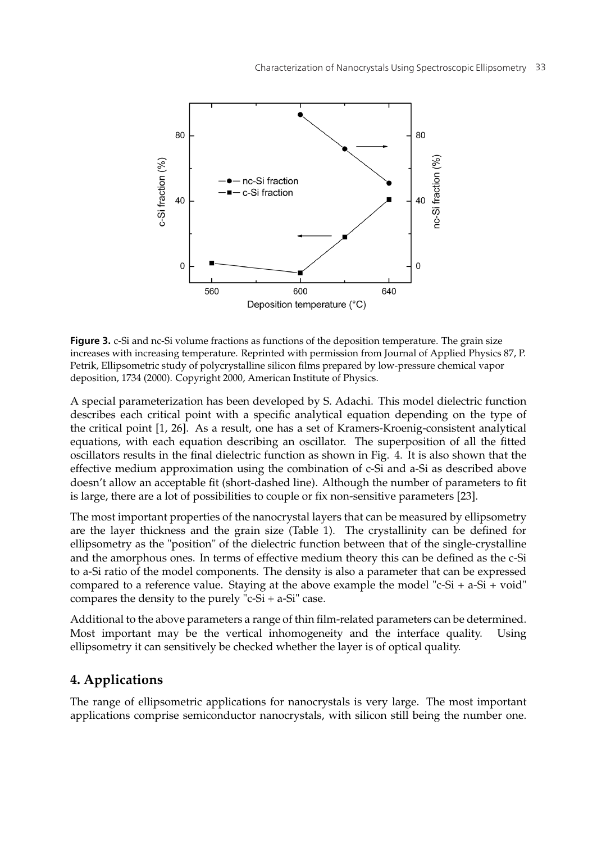

**Figure 3.** c-Si and nc-Si volume fractions as functions of the deposition temperature. The grain size increases with increasing temperature. Reprinted with permission from Journal of Applied Physics 87, P. Petrik, Ellipsometric study of polycrystalline silicon films prepared by low-pressure chemical vapor deposition, 1734 (2000). Copyright 2000, American Institute of Physics.

A special parameterization has been developed by S. Adachi. This model dielectric function describes each critical point with a specific analytical equation depending on the type of the critical point [1, 26]. As a result, one has a set of Kramers-Kroenig-consistent analytical equations, with each equation describing an oscillator. The superposition of all the fitted oscillators results in the final dielectric function as shown in Fig. 4. It is also shown that the effective medium approximation using the combination of c-Si and a-Si as described above doesn't allow an acceptable fit (short-dashed line). Although the number of parameters to fit is large, there are a lot of possibilities to couple or fix non-sensitive parameters [23].

The most important properties of the nanocrystal layers that can be measured by ellipsometry are the layer thickness and the grain size (Table 1). The crystallinity can be defined for ellipsometry as the "position" of the dielectric function between that of the single-crystalline and the amorphous ones. In terms of effective medium theory this can be defined as the c-Si to a-Si ratio of the model components. The density is also a parameter that can be expressed compared to a reference value. Staying at the above example the model "c-Si +  $a-Si + void$ " compares the density to the purely "c-Si + a-Si" case.

Additional to the above parameters a range of thin film-related parameters can be determined. Most important may be the vertical inhomogeneity and the interface quality. Using ellipsometry it can sensitively be checked whether the layer is of optical quality.

#### **4. Applications**

The range of ellipsometric applications for nanocrystals is very large. The most important applications comprise semiconductor nanocrystals, with silicon still being the number one.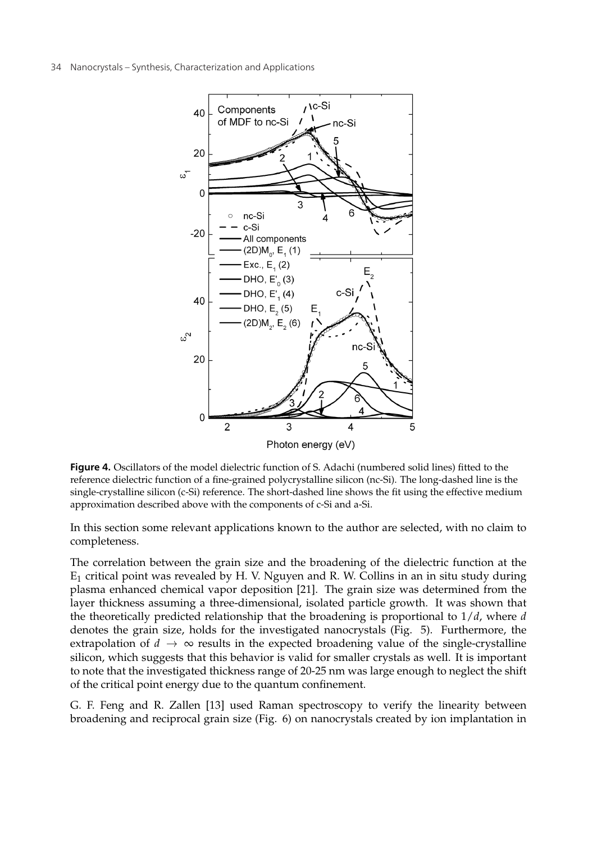

Figure 4. Oscillators of the model dielectric function of S. Adachi (numbered solid lines) fitted to the reference dielectric function of a fine-grained polycrystalline silicon (nc-Si). The long-dashed line is the single-crystalline silicon (c-Si) reference. The short-dashed line shows the fit using the effective medium approximation described above with the components of c-Si and a-Si.

In this section some relevant applications known to the author are selected, with no claim to completeness.

The correlation between the grain size and the broadening of the dielectric function at the  $E_1$  critical point was revealed by H. V. Nguyen and R. W. Collins in an in situ study during plasma enhanced chemical vapor deposition [21]. The grain size was determined from the layer thickness assuming a three-dimensional, isolated particle growth. It was shown that the theoretically predicted relationship that the broadening is proportional to 1/*d*, where *d* denotes the grain size, holds for the investigated nanocrystals (Fig. 5). Furthermore, the extrapolation of  $d \to \infty$  results in the expected broadening value of the single-crystalline silicon, which suggests that this behavior is valid for smaller crystals as well. It is important to note that the investigated thickness range of 20-25 nm was large enough to neglect the shift of the critical point energy due to the quantum confinement.

G. F. Feng and R. Zallen [13] used Raman spectroscopy to verify the linearity between broadening and reciprocal grain size (Fig. 6) on nanocrystals created by ion implantation in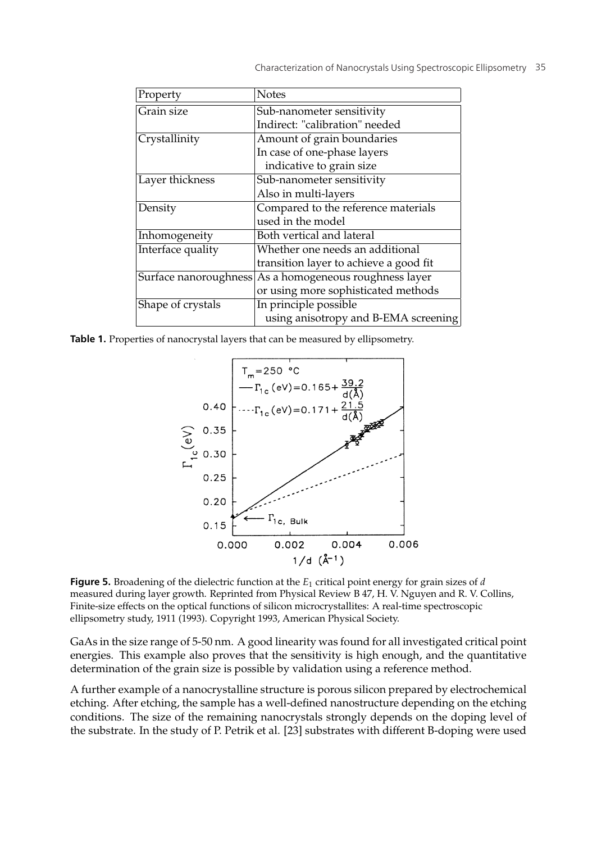| Property              | <b>Notes</b>                           |
|-----------------------|----------------------------------------|
| Grain size            | Sub-nanometer sensitivity              |
|                       | Indirect: "calibration" needed         |
| Crystallinity         | Amount of grain boundaries             |
|                       | In case of one-phase layers            |
|                       | indicative to grain size               |
| Layer thickness       | Sub-nanometer sensitivity              |
|                       | Also in multi-layers                   |
| Density               | Compared to the reference materials    |
|                       | used in the model                      |
| Inhomogeneity         | Both vertical and lateral              |
| Interface quality     | Whether one needs an additional        |
|                       | transition layer to achieve a good fit |
| Surface nanoroughness | As a homogeneous roughness layer       |
|                       | or using more sophisticated methods    |
| Shape of crystals     | In principle possible                  |
|                       | using anisotropy and B-EMA screening   |

Table 1. Properties of nanocrystal layers that can be measured by ellipsometry.



**Figure 5.** Broadening of the dielectric function at the *<sup>E</sup>*<sup>1</sup> critical point energy for grain sizes of *<sup>d</sup>* measured during layer growth. Reprinted from Physical Review B 47, H. V. Nguyen and R. V. Collins, Finite-size effects on the optical functions of silicon microcrystallites: A real-time spectroscopic ellipsometry study, 1911 (1993). Copyright 1993, American Physical Society.

GaAs in the size range of 5-50 nm. A good linearity was found for all investigated critical point energies. This example also proves that the sensitivity is high enough, and the quantitative determination of the grain size is possible by validation using a reference method.

A further example of a nanocrystalline structure is porous silicon prepared by electrochemical etching. After etching, the sample has a well-defined nanostructure depending on the etching conditions. The size of the remaining nanocrystals strongly depends on the doping level of the substrate. In the study of P. Petrik et al. [23] substrates with different B-doping were used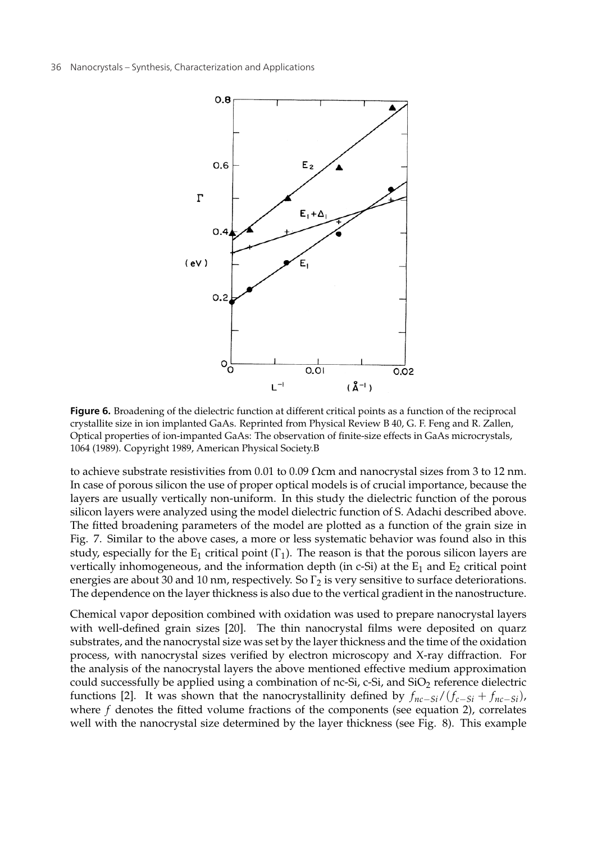

**Figure 6.** Broadening of the dielectric function at different critical points as a function of the reciprocal crystallite size in ion implanted GaAs. Reprinted from Physical Review B 40, G. F. Feng and R. Zallen, Optical properties of ion-impanted GaAs: The observation of finite-size effects in GaAs microcrystals, 1064 (1989). Copyright 1989, American Physical Society.B

to achieve substrate resistivities from 0.01 to 0.09 Ωcm and nanocrystal sizes from 3 to 12 nm. In case of porous silicon the use of proper optical models is of crucial importance, because the layers are usually vertically non-uniform. In this study the dielectric function of the porous silicon layers were analyzed using the model dielectric function of S. Adachi described above. The fitted broadening parameters of the model are plotted as a function of the grain size in Fig. 7. Similar to the above cases, a more or less systematic behavior was found also in this study, especially for the  $E_1$  critical point  $(\Gamma_1)$ . The reason is that the porous silicon layers are vertically inhomogeneous, and the information depth (in c-Si) at the  $E_1$  and  $E_2$  critical point energies are about 30 and 10 nm, respectively. So  $\Gamma_2$  is very sensitive to surface deteriorations. The dependence on the layer thickness is also due to the vertical gradient in the nanostructure.

Chemical vapor deposition combined with oxidation was used to prepare nanocrystal layers with well-defined grain sizes [20]. The thin nanocrystal films were deposited on quarz substrates, and the nanocrystal size was set by the layer thickness and the time of the oxidation process, with nanocrystal sizes verified by electron microscopy and X-ray diffraction. For the analysis of the nanocrystal layers the above mentioned effective medium approximation could successfully be applied using a combination of nc-Si, c-Si, and  $SiO<sub>2</sub>$  reference dielectric functions [2]. It was shown that the nanocrystallinity defined by  $f_{nc-Si}/(f_{c-Si} + f_{nc-Si})$ , where  $f$  denotes the fitted volume fractions of the components (see equation 2), correlates well with the nanocrystal size determined by the layer thickness (see Fig. 8). This example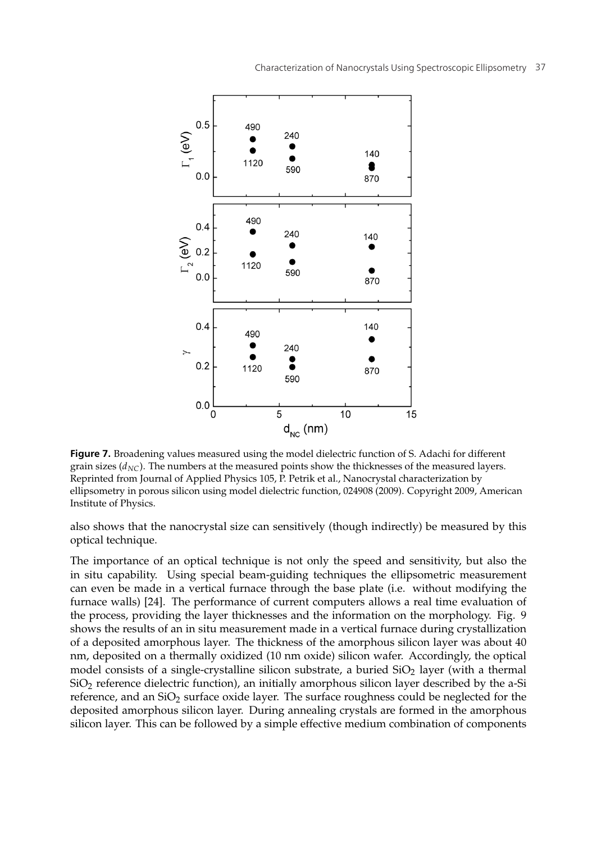

**Figure 7.** Broadening values measured using the model dielectric function of S. Adachi for different grain sizes  $(d_{NC})$ . The numbers at the measured points show the thicknesses of the measured layers. Reprinted from Journal of Applied Physics 105, P. Petrik et al., Nanocrystal characterization by ellipsometry in porous silicon using model dielectric function, 024908 (2009). Copyright 2009, American Institute of Physics.

also shows that the nanocrystal size can sensitively (though indirectly) be measured by this optical technique.

The importance of an optical technique is not only the speed and sensitivity, but also the in situ capability. Using special beam-guiding techniques the ellipsometric measurement can even be made in a vertical furnace through the base plate (i.e. without modifying the furnace walls) [24]. The performance of current computers allows a real time evaluation of the process, providing the layer thicknesses and the information on the morphology. Fig. 9 shows the results of an in situ measurement made in a vertical furnace during crystallization of a deposited amorphous layer. The thickness of the amorphous silicon layer was about 40 nm, deposited on a thermally oxidized (10 nm oxide) silicon wafer. Accordingly, the optical model consists of a single-crystalline silicon substrate, a buried  $SiO<sub>2</sub>$  layer (with a thermal SiO<sub>2</sub> reference dielectric function), an initially amorphous silicon layer described by the a-Si reference, and an  $SiO<sub>2</sub>$  surface oxide layer. The surface roughness could be neglected for the deposited amorphous silicon layer. During annealing crystals are formed in the amorphous silicon layer. This can be followed by a simple effective medium combination of components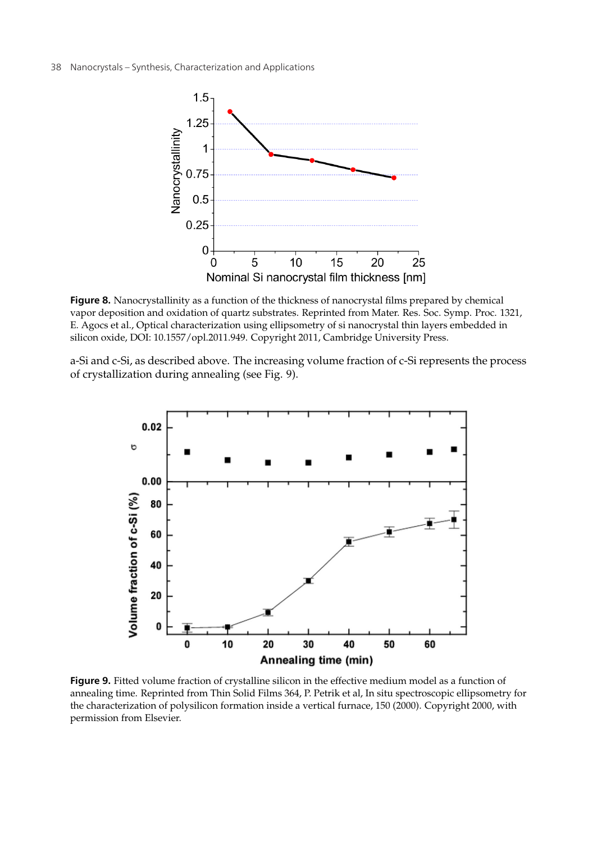38 Nanocrystals – Synthesis, Characterization and Applications



**Figure 8.** Nanocrystallinity as a function of the thickness of nanocrystal films prepared by chemical vapor deposition and oxidation of quartz substrates. Reprinted from Mater. Res. Soc. Symp. Proc. 1321, E. Agocs et al., Optical characterization using ellipsometry of si nanocrystal thin layers embedded in silicon oxide, DOI: 10.1557/opl.2011.949. Copyright 2011, Cambridge University Press.

a-Si and c-Si, as described above. The increasing volume fraction of c-Si represents the process of crystallization during annealing (see Fig. 9).



**Figure 9.** Fitted volume fraction of crystalline silicon in the effective medium model as a function of annealing time. Reprinted from Thin Solid Films 364, P. Petrik et al, In situ spectroscopic ellipsometry for the characterization of polysilicon formation inside a vertical furnace, 150 (2000). Copyright 2000, with permission from Elsevier.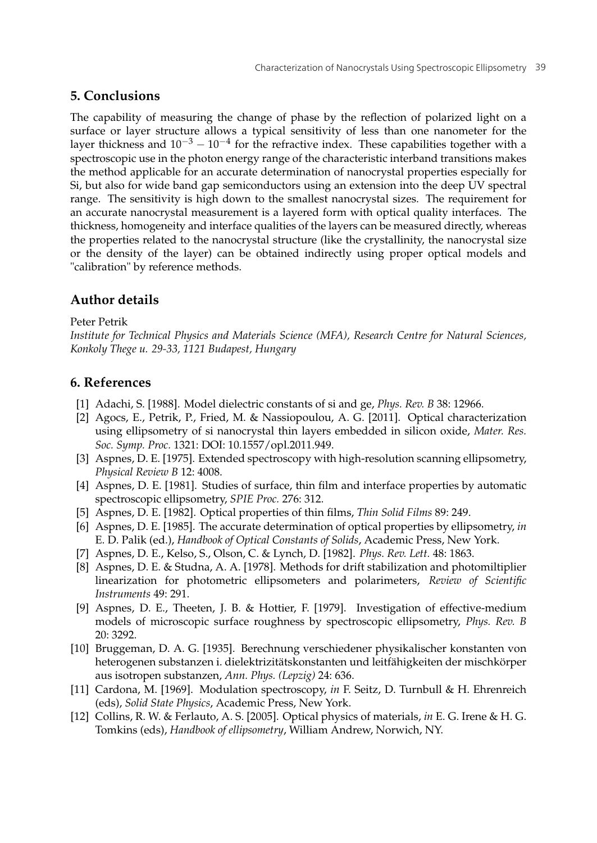### **5. Conclusions**

The capability of measuring the change of phase by the reflection of polarized light on a surface or layer structure allows a typical sensitivity of less than one nanometer for the layer thickness and  $10^{-3} - 10^{-4}$  for the refractive index. These capabilities together with a spectroscopic use in the photon energy range of the characteristic interband transitions makes the method applicable for an accurate determination of nanocrystal properties especially for Si, but also for wide band gap semiconductors using an extension into the deep UV spectral range. The sensitivity is high down to the smallest nanocrystal sizes. The requirement for an accurate nanocrystal measurement is a layered form with optical quality interfaces. The thickness, homogeneity and interface qualities of the layers can be measured directly, whereas the properties related to the nanocrystal structure (like the crystallinity, the nanocrystal size or the density of the layer) can be obtained indirectly using proper optical models and "calibration" by reference methods.

## **Author details**

#### Peter Petrik

*Institute for Technical Physics and Materials Science (MFA), Research Centre for Natural Sciences, Konkoly Thege u. 29-33, 1121 Budapest, Hungary*

## **6. References**

- [1] Adachi, S. [1988]. Model dielectric constants of si and ge, *Phys. Rev. B* 38: 12966.
- [2] Agocs, E., Petrik, P., Fried, M. & Nassiopoulou, A. G. [2011]. Optical characterization using ellipsometry of si nanocrystal thin layers embedded in silicon oxide, *Mater. Res. Soc. Symp. Proc.* 1321: DOI: 10.1557/opl.2011.949.
- [3] Aspnes, D. E. [1975]. Extended spectroscopy with high-resolution scanning ellipsometry, *Physical Review B* 12: 4008.
- [4] Aspnes, D. E. [1981]. Studies of surface, thin film and interface properties by automatic spectroscopic ellipsometry, *SPIE Proc.* 276: 312.
- [5] Aspnes, D. E. [1982]. Optical properties of thin films, *Thin Solid Films* 89: 249.
- [6] Aspnes, D. E. [1985]. The accurate determination of optical properties by ellipsometry, *in* E. D. Palik (ed.), *Handbook of Optical Constants of Solids*, Academic Press, New York.
- [7] Aspnes, D. E., Kelso, S., Olson, C. & Lynch, D. [1982]. *Phys. Rev. Lett.* 48: 1863.
- [8] Aspnes, D. E. & Studna, A. A. [1978]. Methods for drift stabilization and photomiltiplier linearization for photometric ellipsometers and polarimeters, *Review of Scientific Instruments* 49: 291.
- [9] Aspnes, D. E., Theeten, J. B. & Hottier, F. [1979]. Investigation of effective-medium models of microscopic surface roughness by spectroscopic ellipsometry, *Phys. Rev. B* 20: 3292.
- [10] Bruggeman, D. A. G. [1935]. Berechnung verschiedener physikalischer konstanten von heterogenen substanzen i. dielektrizitätskonstanten und leitfähigkeiten der mischkörper aus isotropen substanzen, *Ann. Phys. (Lepzig)* 24: 636.
- [11] Cardona, M. [1969]. Modulation spectroscopy, *in* F. Seitz, D. Turnbull & H. Ehrenreich (eds), *Solid State Physics*, Academic Press, New York.
- [12] Collins, R. W. & Ferlauto, A. S. [2005]. Optical physics of materials, *in* E. G. Irene & H. G. Tomkins (eds), *Handbook of ellipsometry*, William Andrew, Norwich, NY.